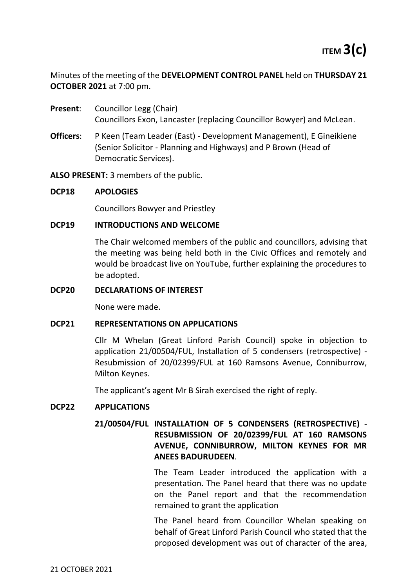Minutes of the meeting of the **DEVELOPMENT CONTROL PANEL** held on **THURSDAY 21 OCTOBER 2021** at 7:00 pm.

- **Present:** Councillor Legg (Chair) Councillors Exon, Lancaster (replacing Councillor Bowyer) and McLean.
- **Officers**: P Keen (Team Leader (East) Development Management), E Gineikiene (Senior Solicitor - Planning and Highways) and P Brown (Head of Democratic Services).

**ALSO PRESENT:** 3 members of the public.

## **DCP18 APOLOGIES**

Councillors Bowyer and Priestley

## **DCP19 INTRODUCTIONS AND WELCOME**

The Chair welcomed members of the public and councillors, advising that the meeting was being held both in the Civic Offices and remotely and would be broadcast live on YouTube, further explaining the procedures to be adopted.

#### **DCP20 DECLARATIONS OF INTEREST**

None were made.

#### **DCP21 REPRESENTATIONS ON APPLICATIONS**

Cllr M Whelan (Great Linford Parish Council) spoke in objection to application 21/00504/FUL, Installation of 5 condensers (retrospective) - Resubmission of 20/02399/FUL at 160 Ramsons Avenue, Conniburrow, Milton Keynes.

The applicant's agent Mr B Sirah exercised the right of reply.

# **DCP22 APPLICATIONS**

# **21/00504/FUL INSTALLATION OF 5 CONDENSERS (RETROSPECTIVE) - RESUBMISSION OF 20/02399/FUL AT 160 RAMSONS AVENUE, CONNIBURROW, MILTON KEYNES FOR MR ANEES BADURUDEEN**.

The Team Leader introduced the application with a presentation. The Panel heard that there was no update on the Panel report and that the recommendation remained to grant the application

The Panel heard from Councillor Whelan speaking on behalf of Great Linford Parish Council who stated that the proposed development was out of character of the area,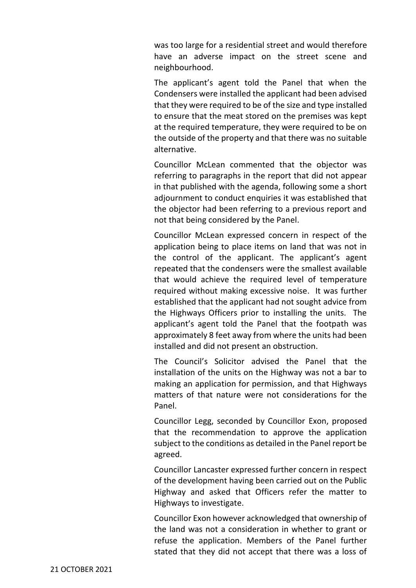was too large for a residential street and would therefore have an adverse impact on the street scene and neighbourhood.

The applicant's agent told the Panel that when the Condensers were installed the applicant had been advised that they were required to be of the size and type installed to ensure that the meat stored on the premises was kept at the required temperature, they were required to be on the outside of the property and that there was no suitable alternative.

Councillor McLean commented that the objector was referring to paragraphs in the report that did not appear in that published with the agenda, following some a short adjournment to conduct enquiries it was established that the objector had been referring to a previous report and not that being considered by the Panel.

Councillor McLean expressed concern in respect of the application being to place items on land that was not in the control of the applicant. The applicant's agent repeated that the condensers were the smallest available that would achieve the required level of temperature required without making excessive noise. It was further established that the applicant had not sought advice from the Highways Officers prior to installing the units. The applicant's agent told the Panel that the footpath was approximately 8 feet away from where the units had been installed and did not present an obstruction.

The Council's Solicitor advised the Panel that the installation of the units on the Highway was not a bar to making an application for permission, and that Highways matters of that nature were not considerations for the Panel.

Councillor Legg, seconded by Councillor Exon, proposed that the recommendation to approve the application subject to the conditions as detailed in the Panel report be agreed.

Councillor Lancaster expressed further concern in respect of the development having been carried out on the Public Highway and asked that Officers refer the matter to Highways to investigate.

Councillor Exon however acknowledged that ownership of the land was not a consideration in whether to grant or refuse the application. Members of the Panel further stated that they did not accept that there was a loss of